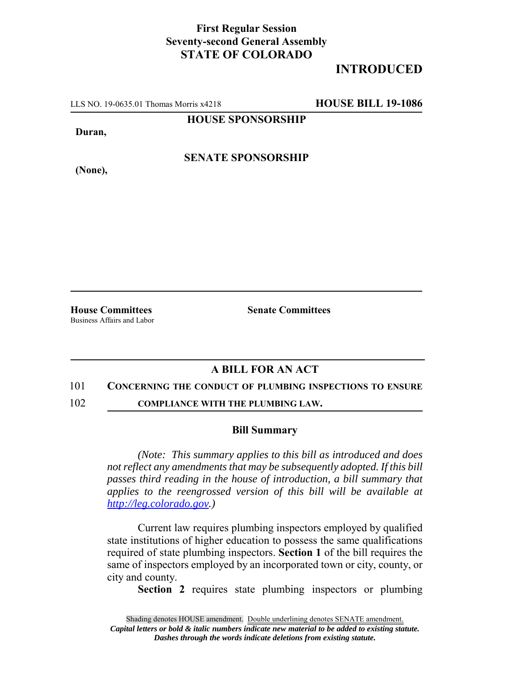## **First Regular Session Seventy-second General Assembly STATE OF COLORADO**

# **INTRODUCED**

LLS NO. 19-0635.01 Thomas Morris x4218 **HOUSE BILL 19-1086**

**HOUSE SPONSORSHIP**

**Duran,**

**SENATE SPONSORSHIP**

**(None),**

**House Committees Senate Committees** Business Affairs and Labor

### **A BILL FOR AN ACT**

### 101 **CONCERNING THE CONDUCT OF PLUMBING INSPECTIONS TO ENSURE**

102 **COMPLIANCE WITH THE PLUMBING LAW.**

#### **Bill Summary**

*(Note: This summary applies to this bill as introduced and does not reflect any amendments that may be subsequently adopted. If this bill passes third reading in the house of introduction, a bill summary that applies to the reengrossed version of this bill will be available at http://leg.colorado.gov.)*

Current law requires plumbing inspectors employed by qualified state institutions of higher education to possess the same qualifications required of state plumbing inspectors. **Section 1** of the bill requires the same of inspectors employed by an incorporated town or city, county, or city and county.

**Section 2** requires state plumbing inspectors or plumbing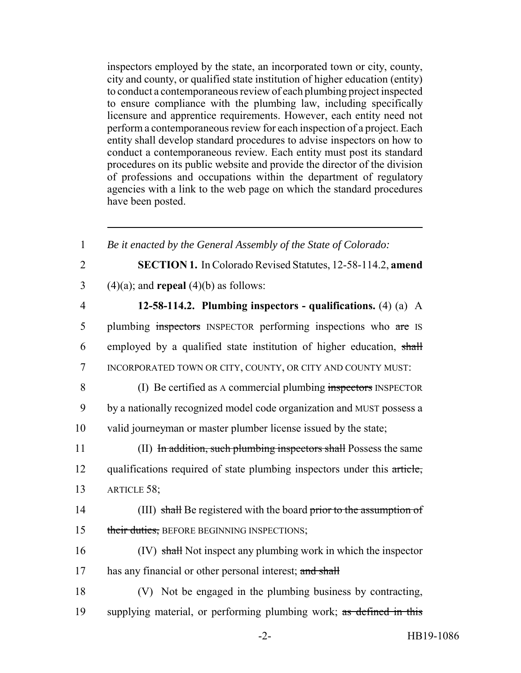inspectors employed by the state, an incorporated town or city, county, city and county, or qualified state institution of higher education (entity) to conduct a contemporaneous review of each plumbing project inspected to ensure compliance with the plumbing law, including specifically licensure and apprentice requirements. However, each entity need not perform a contemporaneous review for each inspection of a project. Each entity shall develop standard procedures to advise inspectors on how to conduct a contemporaneous review. Each entity must post its standard procedures on its public website and provide the director of the division of professions and occupations within the department of regulatory agencies with a link to the web page on which the standard procedures have been posted.

| $\mathbf{1}$   | Be it enacted by the General Assembly of the State of Colorado:          |
|----------------|--------------------------------------------------------------------------|
| $\overline{2}$ | SECTION 1. In Colorado Revised Statutes, 12-58-114.2, amend              |
| 3              | $(4)(a)$ ; and <b>repeal</b> $(4)(b)$ as follows:                        |
| $\overline{4}$ | 12-58-114.2. Plumbing inspectors - qualifications. $(4)$ $(a)$ A         |
| 5              | plumbing inspectors INSPECTOR performing inspections who are IS          |
| 6              | employed by a qualified state institution of higher education, shall     |
| 7              | INCORPORATED TOWN OR CITY, COUNTY, OR CITY AND COUNTY MUST:              |
| 8              | (I) Be certified as A commercial plumbing inspectors INSPECTOR           |
| 9              | by a nationally recognized model code organization and MUST possess a    |
| 10             | valid journeyman or master plumber license issued by the state;          |
| 11             | (II) In addition, such plumbing inspectors shall Possess the same        |
| 12             | qualifications required of state plumbing inspectors under this article, |
| 13             | ARTICLE 58;                                                              |
| 14             | (III) shall Be registered with the board prior to the assumption of      |
| 15             | their duties, BEFORE BEGINNING INSPECTIONS;                              |
| 16             | (IV) shall Not inspect any plumbing work in which the inspector          |
| 17             | has any financial or other personal interest; and shall                  |
| 18             | (V) Not be engaged in the plumbing business by contracting,              |
| 19             | supplying material, or performing plumbing work; as defined in this      |
|                |                                                                          |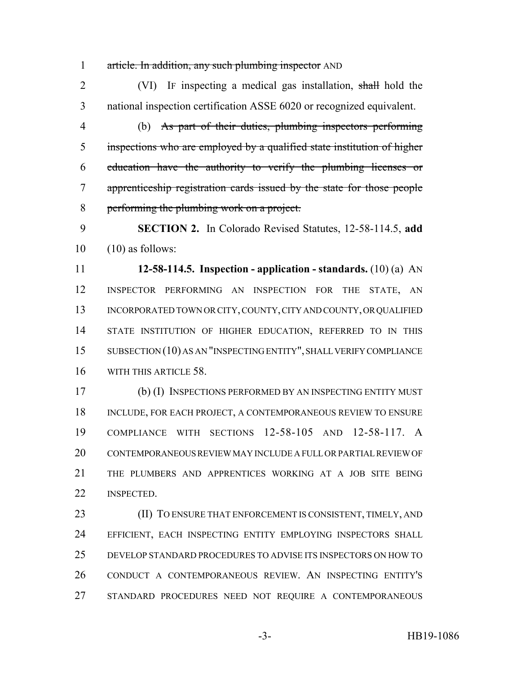1 article. In addition, any such plumbing inspector AND

2 (VI) IF inspecting a medical gas installation, shall hold the national inspection certification ASSE 6020 or recognized equivalent.

 (b) As part of their duties, plumbing inspectors performing inspections who are employed by a qualified state institution of higher education have the authority to verify the plumbing licenses or apprenticeship registration cards issued by the state for those people performing the plumbing work on a project.

 **SECTION 2.** In Colorado Revised Statutes, 12-58-114.5, **add**  $10 \quad (10)$  as follows:

 **12-58-114.5. Inspection - application - standards.** (10) (a) AN INSPECTOR PERFORMING AN INSPECTION FOR THE STATE, AN 13 INCORPORATED TOWN OR CITY, COUNTY, CITY AND COUNTY, OR QUALIFIED 14 STATE INSTITUTION OF HIGHER EDUCATION, REFERRED TO IN THIS SUBSECTION (10) AS AN "INSPECTING ENTITY", SHALL VERIFY COMPLIANCE WITH THIS ARTICLE 58.

 (b) (I) INSPECTIONS PERFORMED BY AN INSPECTING ENTITY MUST 18 INCLUDE, FOR EACH PROJECT, A CONTEMPORANEOUS REVIEW TO ENSURE COMPLIANCE WITH SECTIONS 12-58-105 AND 12-58-117. A CONTEMPORANEOUS REVIEW MAY INCLUDE A FULL OR PARTIAL REVIEW OF THE PLUMBERS AND APPRENTICES WORKING AT A JOB SITE BEING INSPECTED.

**(II) TO ENSURE THAT ENFORCEMENT IS CONSISTENT, TIMELY, AND**  EFFICIENT, EACH INSPECTING ENTITY EMPLOYING INSPECTORS SHALL DEVELOP STANDARD PROCEDURES TO ADVISE ITS INSPECTORS ON HOW TO CONDUCT A CONTEMPORANEOUS REVIEW. AN INSPECTING ENTITY'S STANDARD PROCEDURES NEED NOT REQUIRE A CONTEMPORANEOUS